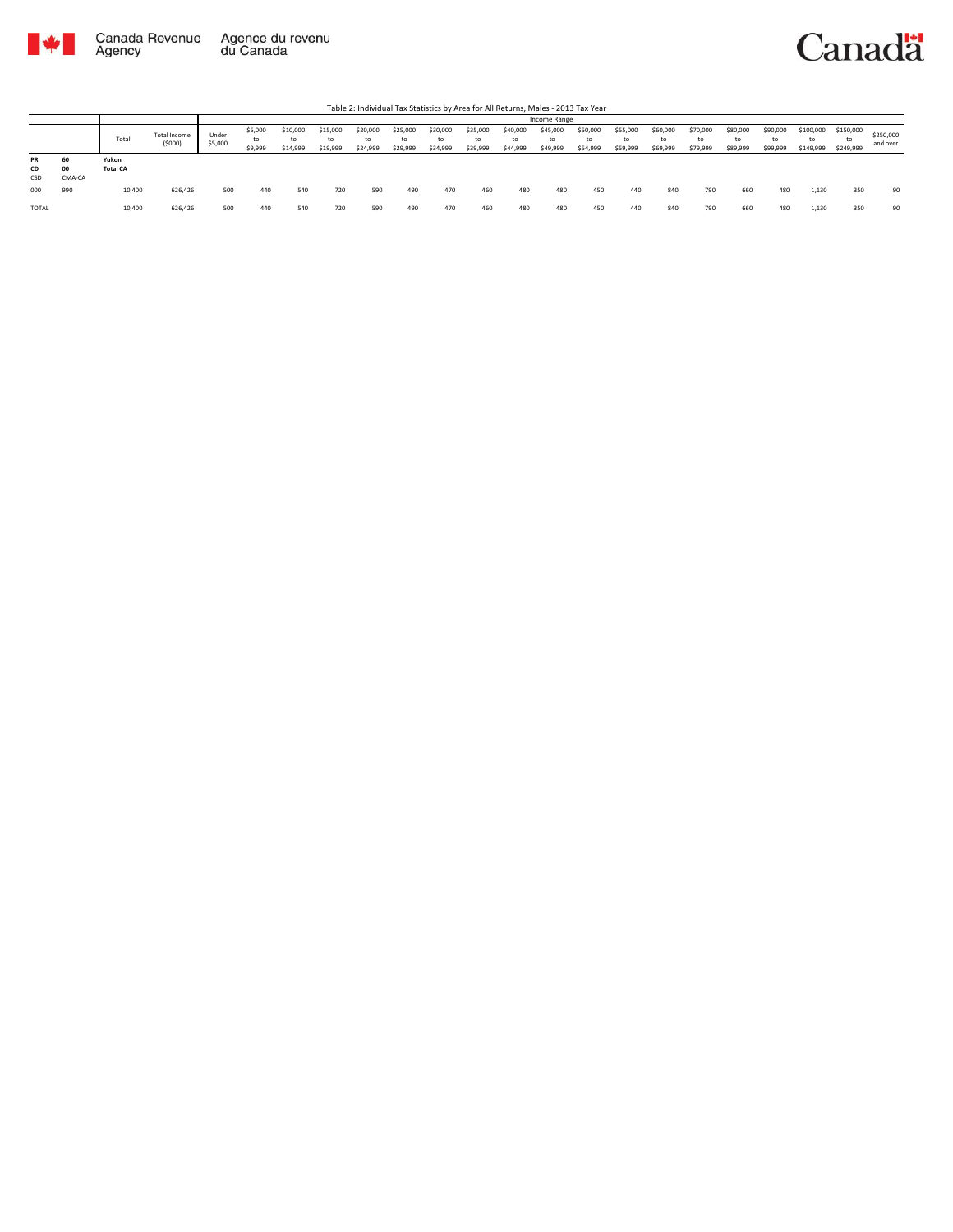

Table 2: Individual Tax Statistics by Area for All Returns, Males - 2013 Tax Year

|                 |                    |                          |                               |                  | Income Range             |                            |                      |                            |                            |                            |                            |                            |                            |                            |                            |                            |                            |                            |                            |                              |                              |                       |
|-----------------|--------------------|--------------------------|-------------------------------|------------------|--------------------------|----------------------------|----------------------|----------------------------|----------------------------|----------------------------|----------------------------|----------------------------|----------------------------|----------------------------|----------------------------|----------------------------|----------------------------|----------------------------|----------------------------|------------------------------|------------------------------|-----------------------|
|                 |                    | Total                    | <b>Total Income</b><br>(5000) | Under<br>\$5,000 | \$5,000<br>to<br>\$9,999 | \$10,000<br>to<br>\$14,999 | \$15,000<br>\$19,999 | \$20,000<br>to<br>\$24,999 | \$25,000<br>to<br>\$29,999 | \$30,000<br>to<br>\$34,999 | \$35,000<br>to<br>\$39,999 | \$40,000<br>to<br>\$44,999 | \$45,000<br>to<br>\$49,999 | \$50,000<br>to<br>\$54,999 | \$55,000<br>to<br>\$59,999 | \$60,000<br>to<br>\$69,999 | \$70,000<br>to<br>\$79,999 | \$80,000<br>to<br>\$89,999 | \$90,000<br>to<br>\$99,999 | \$100,000<br>to<br>\$149,999 | \$150,000<br>to<br>\$249,999 | \$250,000<br>and over |
| PR<br>CD<br>CSD | 60<br>00<br>CMA-CA | Yukon<br><b>Total CA</b> |                               |                  |                          |                            |                      |                            |                            |                            |                            |                            |                            |                            |                            |                            |                            |                            |                            |                              |                              |                       |
| 000             | 990                | 10,400                   | 626.426                       | 500              | 440                      | 540                        | 720                  | 590                        | 490                        | 470                        | 460                        | 480                        | 480                        | 450                        | 440                        | 840                        | 790                        | 660                        | 480                        | 1,130                        | 350                          | 90                    |
| TOTAL           |                    | 10,400                   | 626,426                       | 500              | 440                      | 540                        | 720                  | 590                        | 490                        | 470                        | 460                        | 480                        | 480                        | 450                        | 440                        | 840                        | 790                        | 660                        | 480                        | 1,130                        | 350                          | 90                    |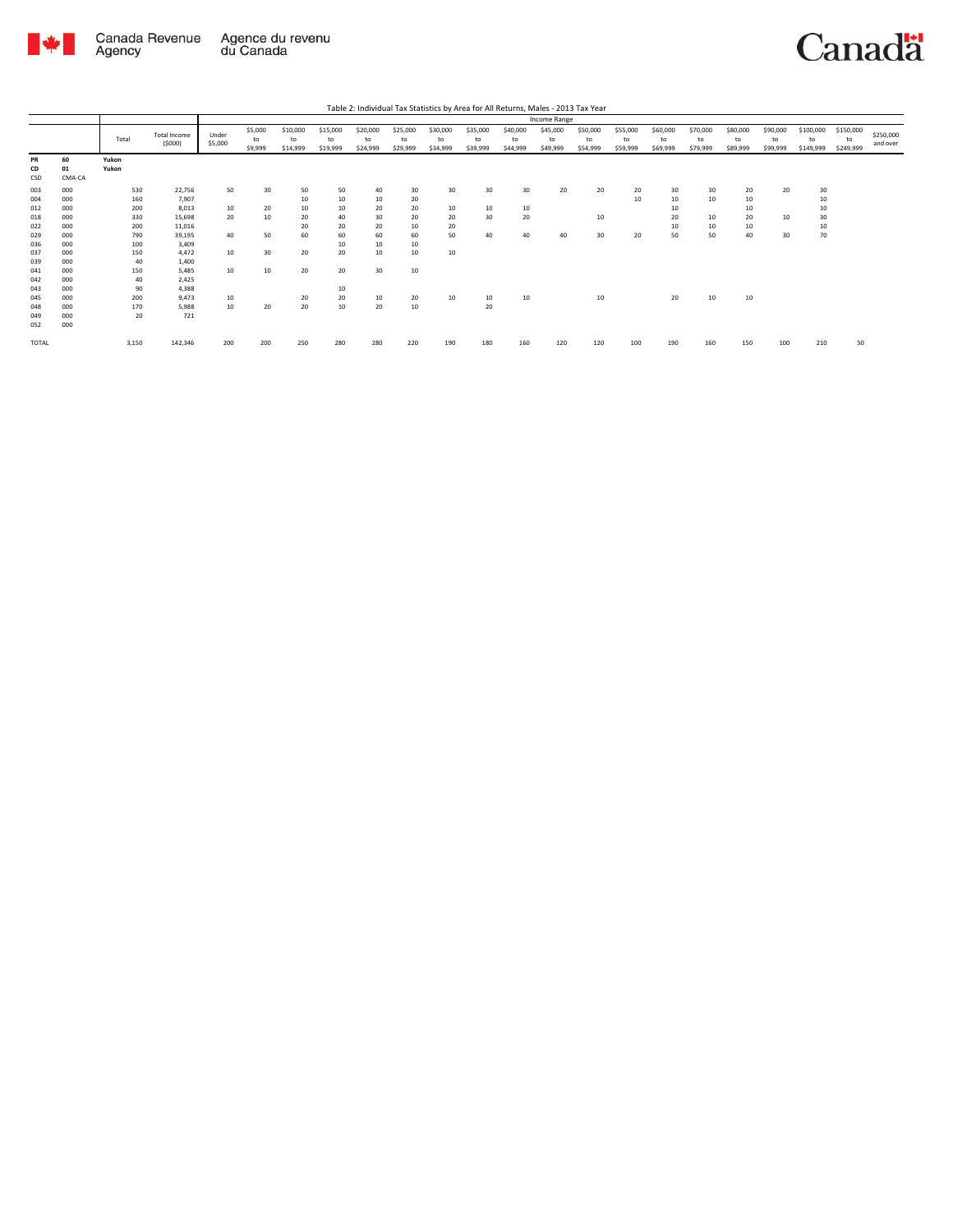

Canadä

Table 2: Individual Tax Statistics by Area for All Returns, Males - 2013 Tax Year

|                 |                    |                |                               |                  |                          |                            |                            |                            |                            |                            |                            |                            | Income Range               |                            |                            |                            |                            |                            |                            |                              |                              |                       |
|-----------------|--------------------|----------------|-------------------------------|------------------|--------------------------|----------------------------|----------------------------|----------------------------|----------------------------|----------------------------|----------------------------|----------------------------|----------------------------|----------------------------|----------------------------|----------------------------|----------------------------|----------------------------|----------------------------|------------------------------|------------------------------|-----------------------|
|                 |                    | Total          | <b>Total Income</b><br>(5000) | Under<br>\$5,000 | \$5,000<br>to<br>\$9,999 | \$10,000<br>to<br>\$14,999 | \$15,000<br>to<br>\$19,999 | \$20,000<br>to<br>\$24,999 | \$25,000<br>to<br>\$29,999 | \$30,000<br>to<br>\$34,999 | \$35,000<br>to<br>\$39,999 | \$40,000<br>to<br>\$44,999 | \$45,000<br>to<br>\$49,999 | \$50,000<br>to<br>\$54,999 | \$55,000<br>to<br>\$59,999 | \$60,000<br>to<br>\$69,999 | \$70,000<br>to<br>\$79,999 | \$80,000<br>to<br>\$89,999 | \$90,000<br>to<br>\$99,999 | \$100,000<br>to<br>\$149,999 | \$150,000<br>to<br>\$249,999 | \$250,000<br>and over |
| PR<br>CD<br>CSD | 60<br>01<br>CMA-CA | Yukon<br>Yukon |                               |                  |                          |                            |                            |                            |                            |                            |                            |                            |                            |                            |                            |                            |                            |                            |                            |                              |                              |                       |
| 003             | 000                | 530            | 22,756                        | 50               | 30                       | 50                         | 50                         | 40                         | 30                         | 30                         | 30                         | 30                         | 20                         | 20                         | 20                         | 30                         | 30                         | 20                         | 20                         | 30                           |                              |                       |
| 004             | 000                | 160            | 7,907                         |                  |                          | 10                         | 10                         | 10                         | 20                         |                            |                            |                            |                            |                            | 10                         | 10                         | 10                         | 10                         |                            | 10                           |                              |                       |
| 012             | 000                | 200            | 8,013                         | 10               | 20                       | 10                         | 10                         | 20                         | 20                         | 10                         | 10                         | 10                         |                            |                            |                            | 10                         |                            | 10                         |                            | 10                           |                              |                       |
| 018             | 000                | 330            | 15,698                        | 20               | 10                       | 20                         | 40                         | 30                         | 20                         | 20                         | 30                         | 20                         |                            | 10                         |                            | 20                         | 10                         | 20                         | 10                         | 30                           |                              |                       |
| 022             | 000                | 200            | 11,016                        |                  |                          | 20                         | 20                         | 20                         | 10                         | 20                         |                            |                            |                            |                            |                            | 10                         | 10                         | 10                         |                            | 10                           |                              |                       |
| 029             | 000                | 790            | 39,195                        | 40               | 50                       | 60                         | 60                         | 60                         | 60                         | 50                         | 40                         | 40                         | 40                         | 30                         | 20                         | 50                         | 50                         | 40                         | 30                         | 70                           |                              |                       |
| 036             | 000                | 100            | 3,409                         |                  |                          |                            | 10                         | 10                         | 10                         |                            |                            |                            |                            |                            |                            |                            |                            |                            |                            |                              |                              |                       |
| 037             | 000                | 150            | 4.472                         | 10               | 30                       | 20                         | 20                         | 10                         | 10                         | 10                         |                            |                            |                            |                            |                            |                            |                            |                            |                            |                              |                              |                       |
| 039             | 000                | 40             | 1,400                         |                  |                          |                            |                            |                            |                            |                            |                            |                            |                            |                            |                            |                            |                            |                            |                            |                              |                              |                       |
| 041             | 000                | 150            | 5,485                         | 10               | 10                       | 20                         | 20                         | 30                         | 10                         |                            |                            |                            |                            |                            |                            |                            |                            |                            |                            |                              |                              |                       |
| 042             | 000                | 40             | 2,425                         |                  |                          |                            |                            |                            |                            |                            |                            |                            |                            |                            |                            |                            |                            |                            |                            |                              |                              |                       |
| 043             | 000                | 90             | 4,388                         |                  |                          |                            | 10                         |                            |                            |                            |                            |                            |                            |                            |                            |                            |                            |                            |                            |                              |                              |                       |
| 045             | 000                | 200            | 9.473                         | 10               |                          | 20                         | 20                         | 10                         | 20                         | 10                         | 10                         | 10                         |                            | 10                         |                            | 20                         | 10                         | 10                         |                            |                              |                              |                       |
| 048             | 000                | 170            | 5.988                         | 10               | 20                       | 20                         | 10                         | 20                         | 10                         |                            | 20                         |                            |                            |                            |                            |                            |                            |                            |                            |                              |                              |                       |
| 049             | 000                | 20             | 721                           |                  |                          |                            |                            |                            |                            |                            |                            |                            |                            |                            |                            |                            |                            |                            |                            |                              |                              |                       |
| 052             | 000                |                |                               |                  |                          |                            |                            |                            |                            |                            |                            |                            |                            |                            |                            |                            |                            |                            |                            |                              |                              |                       |
| TOTAL           |                    | 3,150          | 142,346                       | 200              | 200                      | 250                        | 280                        | 280                        | 220                        | 190                        | 180                        | 160                        | 120                        | 120                        | 100                        | 190                        | 160                        | 150                        | 100                        | 210                          | 50                           |                       |